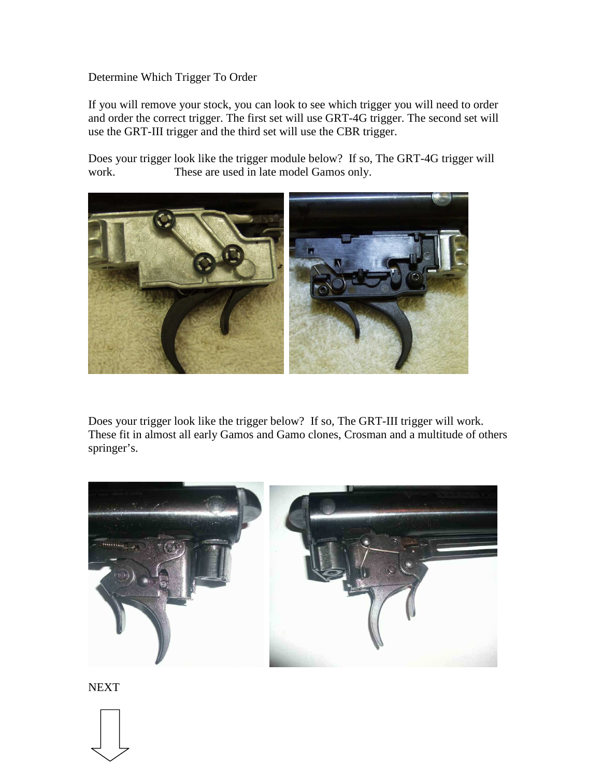## Determine Which Trigger To Order

If you will remove your stock, you can look to see which trigger you will need to order and order the correct trigger. The first set will use GRT-4G trigger. The second set will use the GRT-III trigger and the third set will use the CBR trigger.

Does your trigger look like the trigger module below? If so, The GRT-4G trigger will work. These are used in late model Gamos only.



Does your trigger look like the trigger below? If so, The GRT-III trigger will work. These fit in almost all early Gamos and Gamo clones, Crosman and a multitude of others springer's.



**NEXT**